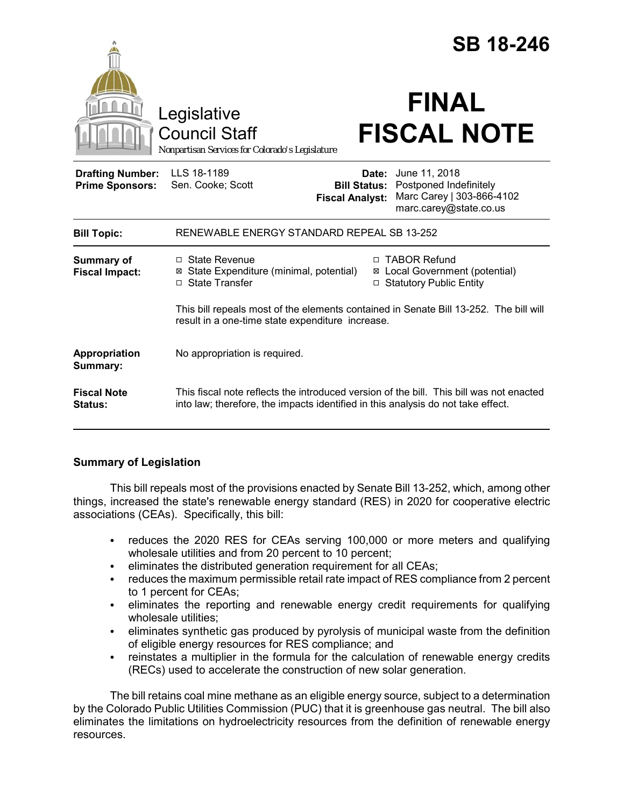|                                                   |                                                                                                                                                                             | <b>SB 18-246</b>                |                                                                                                                    |                    |  |
|---------------------------------------------------|-----------------------------------------------------------------------------------------------------------------------------------------------------------------------------|---------------------------------|--------------------------------------------------------------------------------------------------------------------|--------------------|--|
|                                                   | Legislative<br><b>Council Staff</b><br>Nonpartisan Services for Colorado's Legislature                                                                                      |                                 | <b>FINAL</b>                                                                                                       | <b>FISCAL NOTE</b> |  |
| <b>Drafting Number:</b><br><b>Prime Sponsors:</b> | LLS 18-1189<br>Sen. Cooke; Scott                                                                                                                                            | Date:<br><b>Fiscal Analyst:</b> | June 11, 2018<br><b>Bill Status: Postponed Indefinitely</b><br>Marc Carey   303-866-4102<br>marc.carey@state.co.us |                    |  |
| <b>Bill Topic:</b>                                | RENEWABLE ENERGY STANDARD REPEAL SB 13-252                                                                                                                                  |                                 |                                                                                                                    |                    |  |
| <b>Summary of</b><br><b>Fiscal Impact:</b>        | $\Box$ State Revenue<br>⊠ State Expenditure (minimal, potential)<br>□ State Transfer                                                                                        | ⊠                               | □ TABOR Refund<br>Local Government (potential)<br>□ Statutory Public Entity                                        |                    |  |
|                                                   | This bill repeals most of the elements contained in Senate Bill 13-252. The bill will<br>result in a one-time state expenditure increase.                                   |                                 |                                                                                                                    |                    |  |
| Appropriation<br>Summary:                         | No appropriation is required.                                                                                                                                               |                                 |                                                                                                                    |                    |  |
| <b>Fiscal Note</b><br>Status:                     | This fiscal note reflects the introduced version of the bill. This bill was not enacted<br>into law; therefore, the impacts identified in this analysis do not take effect. |                                 |                                                                                                                    |                    |  |

# **Summary of Legislation**

This bill repeals most of the provisions enacted by Senate Bill 13-252, which, among other things, increased the state's renewable energy standard (RES) in 2020 for cooperative electric associations (CEAs). Specifically, this bill:

- reduces the 2020 RES for CEAs serving 100,000 or more meters and qualifying wholesale utilities and from 20 percent to 10 percent;
- eliminates the distributed generation requirement for all CEAs;
- reduces the maximum permissible retail rate impact of RES compliance from 2 percent to 1 percent for CEAs;
- eliminates the reporting and renewable energy credit requirements for qualifying wholesale utilities:
- eliminates synthetic gas produced by pyrolysis of municipal waste from the definition of eligible energy resources for RES compliance; and
- reinstates a multiplier in the formula for the calculation of renewable energy credits (RECs) used to accelerate the construction of new solar generation.

The bill retains coal mine methane as an eligible energy source, subject to a determination by the Colorado Public Utilities Commission (PUC) that it is greenhouse gas neutral. The bill also eliminates the limitations on hydroelectricity resources from the definition of renewable energy resources.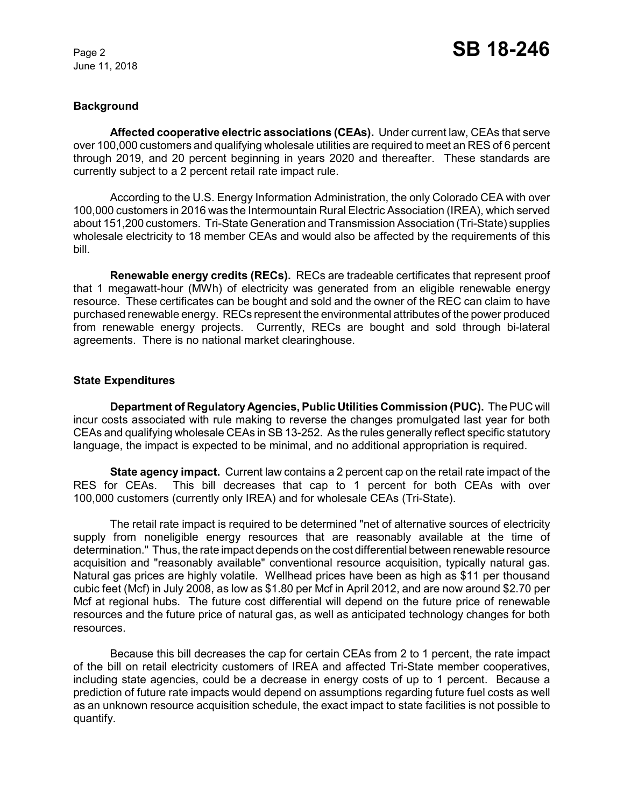June 11, 2018

## **Background**

**Affected cooperative electric associations (CEAs).** Under current law, CEAs that serve over 100,000 customers and qualifying wholesale utilities are required to meet an RES of 6 percent through 2019, and 20 percent beginning in years 2020 and thereafter. These standards are currently subject to a 2 percent retail rate impact rule.

According to the U.S. Energy Information Administration, the only Colorado CEA with over 100,000 customers in 2016 was the Intermountain Rural Electric Association (IREA), which served about 151,200 customers. Tri-State Generation and Transmission Association (Tri-State) supplies wholesale electricity to 18 member CEAs and would also be affected by the requirements of this bill.

**Renewable energy credits (RECs).** RECs are tradeable certificates that represent proof that 1 megawatt-hour (MWh) of electricity was generated from an eligible renewable energy resource. These certificates can be bought and sold and the owner of the REC can claim to have purchased renewable energy. RECs represent the environmental attributes of the power produced from renewable energy projects. Currently, RECs are bought and sold through bi-lateral agreements. There is no national market clearinghouse.

## **State Expenditures**

**Department of Regulatory Agencies, Public Utilities Commission (PUC).** The PUC will incur costs associated with rule making to reverse the changes promulgated last year for both CEAs and qualifying wholesale CEAs in SB 13-252. As the rules generally reflect specific statutory language, the impact is expected to be minimal, and no additional appropriation is required.

**State agency impact.** Current law contains a 2 percent cap on the retail rate impact of the RES for CEAs. This bill decreases that cap to 1 percent for both CEAs with over 100,000 customers (currently only IREA) and for wholesale CEAs (Tri-State).

The retail rate impact is required to be determined "net of alternative sources of electricity supply from noneligible energy resources that are reasonably available at the time of determination." Thus, the rate impact depends on the cost differential between renewable resource acquisition and "reasonably available" conventional resource acquisition, typically natural gas. Natural gas prices are highly volatile. Wellhead prices have been as high as \$11 per thousand cubic feet (Mcf) in July 2008, as low as \$1.80 per Mcf in April 2012, and are now around \$2.70 per Mcf at regional hubs. The future cost differential will depend on the future price of renewable resources and the future price of natural gas, as well as anticipated technology changes for both resources.

Because this bill decreases the cap for certain CEAs from 2 to 1 percent, the rate impact of the bill on retail electricity customers of IREA and affected Tri-State member cooperatives, including state agencies, could be a decrease in energy costs of up to 1 percent. Because a prediction of future rate impacts would depend on assumptions regarding future fuel costs as well as an unknown resource acquisition schedule, the exact impact to state facilities is not possible to quantify.